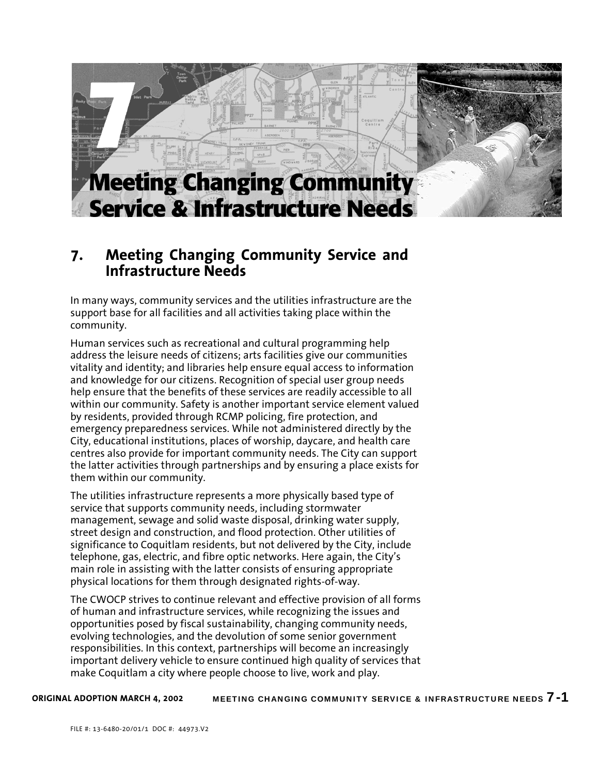

# **7. Meeting Changing Community Service and Infrastructure Needs**

In many ways, community services and the utilities infrastructure are the support base for all facilities and all activities taking place within the community.

Human services such as recreational and cultural programming help address the leisure needs of citizens; arts facilities give our communities vitality and identity; and libraries help ensure equal access to information and knowledge for our citizens. Recognition of special user group needs help ensure that the benefits of these services are readily accessible to all within our community. Safety is another important service element valued by residents, provided through RCMP policing, fire protection, and emergency preparedness services. While not administered directly by the City, educational institutions, places of worship, daycare, and health care centres also provide for important community needs. The City can support the latter activities through partnerships and by ensuring a place exists for them within our community.

The utilities infrastructure represents a more physically based type of service that supports community needs, including stormwater management, sewage and solid waste disposal, drinking water supply, street design and construction, and flood protection. Other utilities of significance to Coquitlam residents, but not delivered by the City, include telephone, gas, electric, and fibre optic networks. Here again, the City's main role in assisting with the latter consists of ensuring appropriate physical locations for them through designated rights-of-way.

The CWOCP strives to continue relevant and effective provision of all forms of human and infrastructure services, while recognizing the issues and opportunities posed by fiscal sustainability, changing community needs, evolving technologies, and the devolution of some senior government responsibilities. In this context, partnerships will become an increasingly important delivery vehicle to ensure continued high quality of services that make Coquitlam a city where people choose to live, work and play.

MEETING CHANGING COMMUNITY SERVICE & INFRASTRUCTURE NEEDS 7-1 **ORIGINAL ADOPTION MARCH 4, 2002**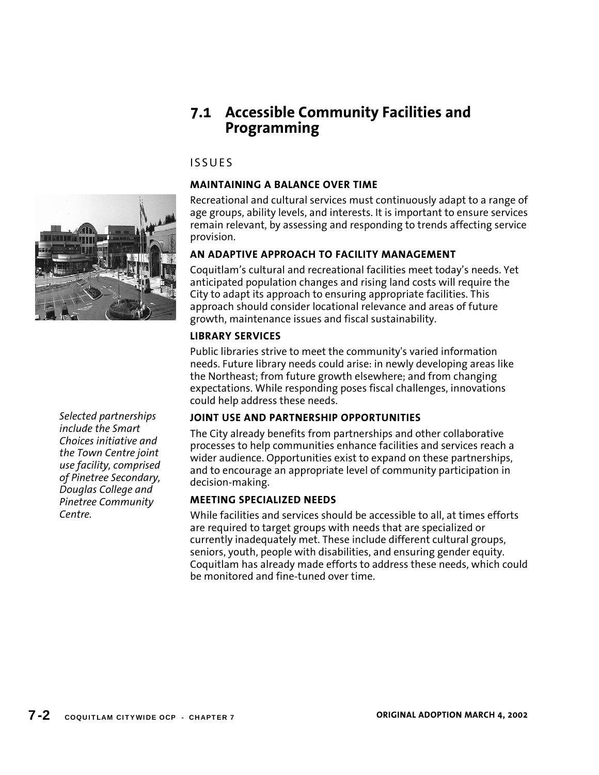# **7.1 Accessible Community Facilities and Programming**

# ISSUES

# **MAINTAINING A BALANCE OVER TIME**

Recreational and cultural services must continuously adapt to a range of age groups, ability levels, and interests. It is important to ensure services remain relevant, by assessing and responding to trends affecting service provision.

# **AN ADAPTIVE APPROACH TO FACILITY MANAGEMENT**

Coquitlam's cultural and recreational facilities meet today's needs. Yet anticipated population changes and rising land costs will require the City to adapt its approach to ensuring appropriate facilities. This approach should consider locational relevance and areas of future growth, maintenance issues and fiscal sustainability.

# **LIBRARY SERVICES**

Public libraries strive to meet the community's varied information needs. Future library needs could arise: in newly developing areas like the Northeast; from future growth elsewhere; and from changing expectations. While responding poses fiscal challenges, innovations could help address these needs.

# **JOINT USE AND PARTNERSHIP OPPORTUNITIES**

The City already benefits from partnerships and other collaborative processes to help communities enhance facilities and services reach a wider audience. Opportunities exist to expand on these partnerships, and to encourage an appropriate level of community participation in decision-making.

# **MEETING SPECIALIZED NEEDS**

While facilities and services should be accessible to all, at times efforts are required to target groups with needs that are specialized or currently inadequately met. These include different cultural groups, seniors, youth, people with disabilities, and ensuring gender equity. Coquitlam has already made efforts to address these needs, which could be monitored and fine-tuned over time.

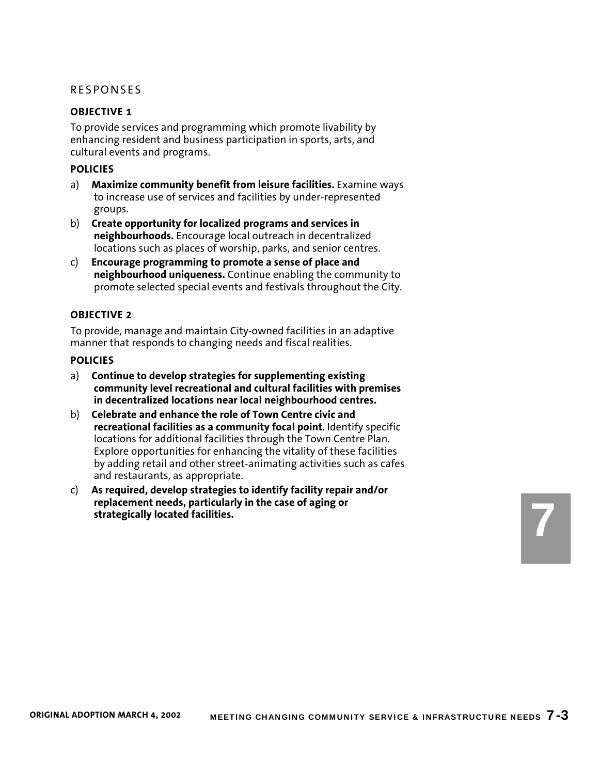#### **OBJECTIVE 1**

To provide services and programming which promote livability by enhancing resident and business participation in sports, arts, and cultural events and programs.

#### **POLICIES**

- a) **Maximize community benefit from leisure facilities.** Examine ways to increase use of services and facilities by under-represented groups.
- b) **Create opportunity for localized programs and services in neighbourhoods.** Encourage local outreach in decentralized locations such as places of worship, parks, and senior centres.
- c) **Encourage programming to promote a sense of place and neighbourhood uniqueness.** Continue enabling the community to promote selected special events and festivals throughout the City.

### **OBJECTIVE 2**

To provide, manage and maintain City-owned facilities in an adaptive manner that responds to changing needs and fiscal realities.

#### **POLICIES**

- a) **Continue to develop strategies for supplementing existing community level recreational and cultural facilities with premises in decentralized locations near local neighbourhood centres.**
- b) **Celebrate and enhance the role of Town Centre civic and recreational facilities as a community focal point**. Identify specific locations for additional facilities through the Town Centre Plan. Explore opportunities for enhancing the vitality of these facilities by adding retail and other street-animating activities such as cafes and restaurants, as appropriate.
- c) **As required, develop strategies to identify facility repair and/or replacement needs, particularly in the case of aging or strategically located facilities.**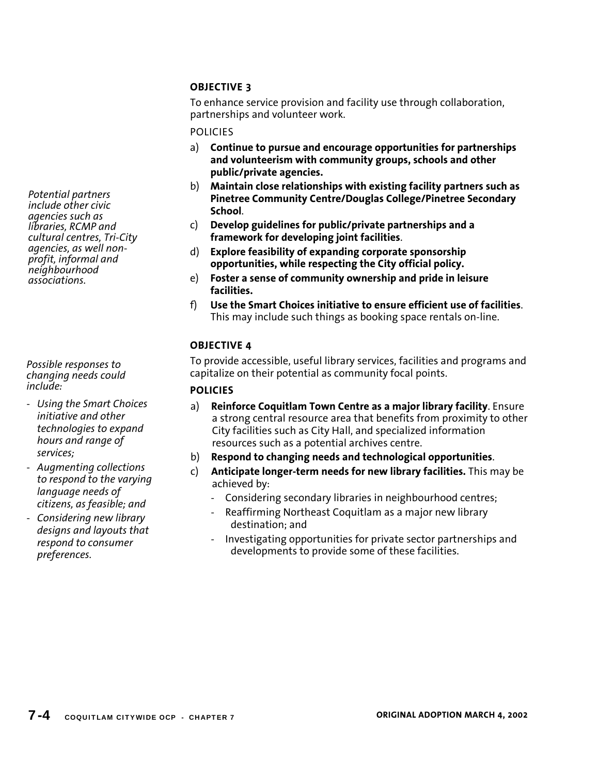To enhance service provision and facility use through collaboration, partnerships and volunteer work.

### POLICIES

- a) **Continue to pursue and encourage opportunities for partnerships and volunteerism with community groups, schools and other public/private agencies.**
- b) **Maintain close relationships with existing facility partners such as Pinetree Community Centre/Douglas College/Pinetree Secondary School**.
- c) **Develop guidelines for public/private partnerships and a framework for developing joint facilities**.
- d) **Explore feasibility of expanding corporate sponsorship opportunities, while respecting the City official policy.**
- e) **Foster a sense of community ownership and pride in leisure facilities.**
- f) **Use the Smart Choices initiative to ensure efficient use of facilities**. This may include such things as booking space rentals on-line.

## **OBJECTIVE 4**

To provide accessible, useful library services, facilities and programs and capitalize on their potential as community focal points.

## **POLICIES**

- a) **Reinforce Coquitlam Town Centre as a major library facility**. Ensure a strong central resource area that benefits from proximity to other City facilities such as City Hall, and specialized information resources such as a potential archives centre.
- b) **Respond to changing needs and technological opportunities**.
- c) **Anticipate longer-term needs for new library facilities.** This may be achieved by:
	- Considering secondary libraries in neighbourhood centres;
	- Reaffirming Northeast Coquitlam as a major new library destination; and
	- Investigating opportunities for private sector partnerships and developments to provide some of these facilities.

*Potential partners include other civic agencies such as libraries, RCMP and cultural centres, Tri-City agencies, as well nonprofit, informal and neighbourhood associations.*

*Possible responses to changing needs could include:* 

- *Using the Smart Choices initiative and other technologies to expand hours and range of services;*
- *Augmenting collections to respond to the varying language needs of citizens, as feasible; and*
- *Considering new library designs and layouts that respond to consumer preferences.*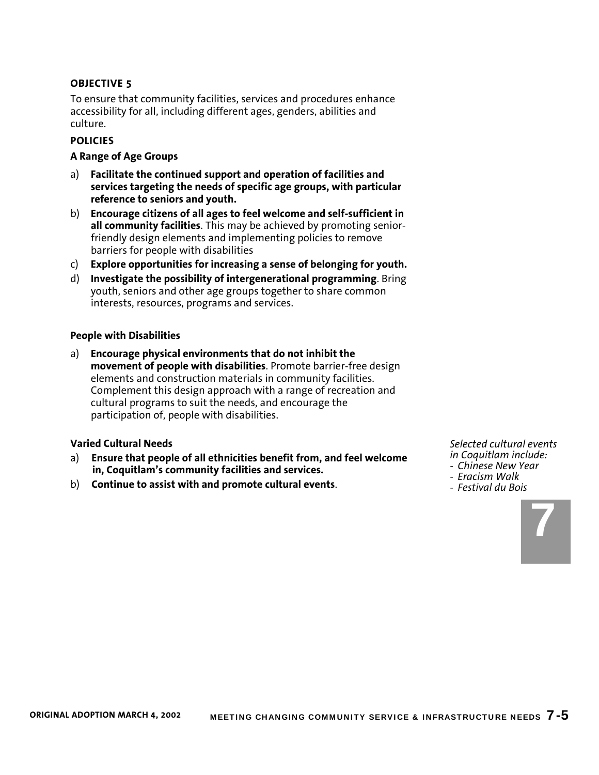To ensure that community facilities, services and procedures enhance accessibility for all, including different ages, genders, abilities and culture.

## **POLICIES**

#### **A Range of Age Groups**

- a) **Facilitate the continued support and operation of facilities and services targeting the needs of specific age groups, with particular reference to seniors and youth.**
- b) **Encourage citizens of all ages to feel welcome and self-sufficient in all community facilities**. This may be achieved by promoting seniorfriendly design elements and implementing policies to remove barriers for people with disabilities
- c) **Explore opportunities for increasing a sense of belonging for youth.**
- d) **Investigate the possibility of intergenerational programming**. Bring youth, seniors and other age groups together to share common interests, resources, programs and services.

#### **People with Disabilities**

a) **Encourage physical environments that do not inhibit the movement of people with disabilities**. Promote barrier-free design elements and construction materials in community facilities. Complement this design approach with a range of recreation and cultural programs to suit the needs, and encourage the participation of, people with disabilities.

#### **Varied Cultural Needs**

- a) **Ensure that people of all ethnicities benefit from, and feel welcome in, Coquitlam's community facilities and services.**
- b) **Continue to assist with and promote cultural events**.

*Selected cultural events in Coquitlam include:* 

- *Chinese New Year*
- *Eracism Walk*
- *Festival du Bois*

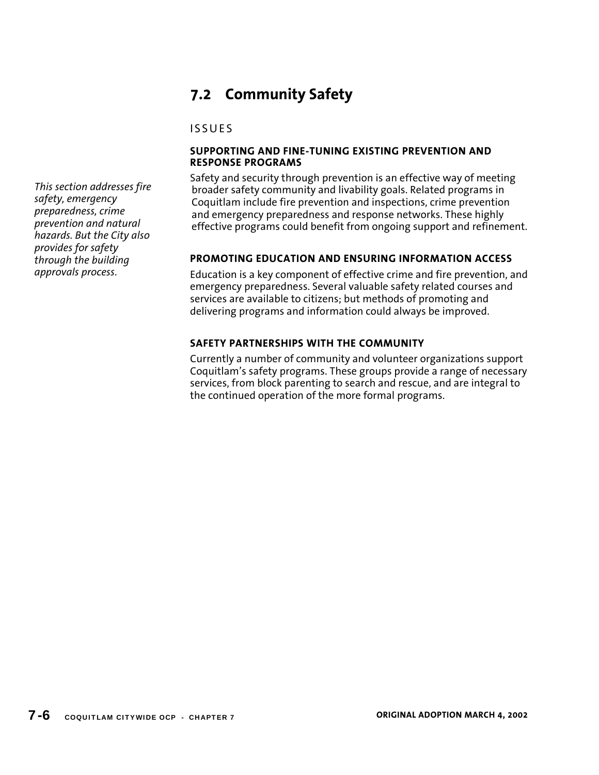# **7.2 Community Safety**

# ISSUES

## **SUPPORTING AND FINE-TUNING EXISTING PREVENTION AND RESPONSE PROGRAMS**

Safety and security through prevention is an effective way of meeting broader safety community and livability goals. Related programs in Coquitlam include fire prevention and inspections, crime prevention and emergency preparedness and response networks. These highly effective programs could benefit from ongoing support and refinement.

# **PROMOTING EDUCATION AND ENSURING INFORMATION ACCESS**

Education is a key component of effective crime and fire prevention, and emergency preparedness. Several valuable safety related courses and services are available to citizens; but methods of promoting and delivering programs and information could always be improved.

## **SAFETY PARTNERSHIPS WITH THE COMMUNITY**

Currently a number of community and volunteer organizations support Coquitlam's safety programs. These groups provide a range of necessary services, from block parenting to search and rescue, and are integral to the continued operation of the more formal programs.

*This section addresses fire safety, emergency preparedness, crime prevention and natural hazards. But the City also provides for safety through the building approvals process*.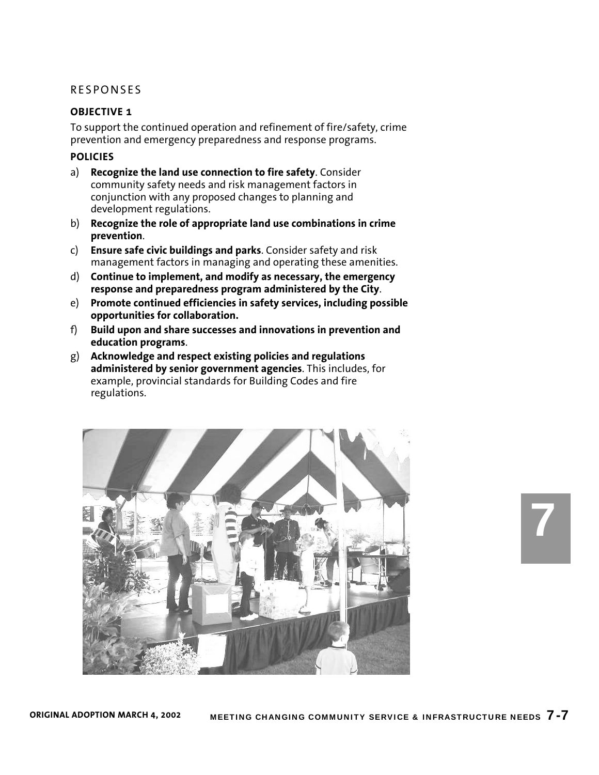#### **OBJECTIVE 1**

To support the continued operation and refinement of fire/safety, crime prevention and emergency preparedness and response programs.

## **POLICIES**

- a) **Recognize the land use connection to fire safety**. Consider community safety needs and risk management factors in conjunction with any proposed changes to planning and development regulations.
- b) **Recognize the role of appropriate land use combinations in crime prevention**.
- c) **Ensure safe civic buildings and parks**. Consider safety and risk management factors in managing and operating these amenities.
- d) **Continue to implement, and modify as necessary, the emergency response and preparedness program administered by the City**.
- e) **Promote continued efficiencies in safety services, including possible opportunities for collaboration.**
- f) **Build upon and share successes and innovations in prevention and education programs**.
- g) **Acknowledge and respect existing policies and regulations administered by senior government agencies**. This includes, for example, provincial standards for Building Codes and fire regulations.

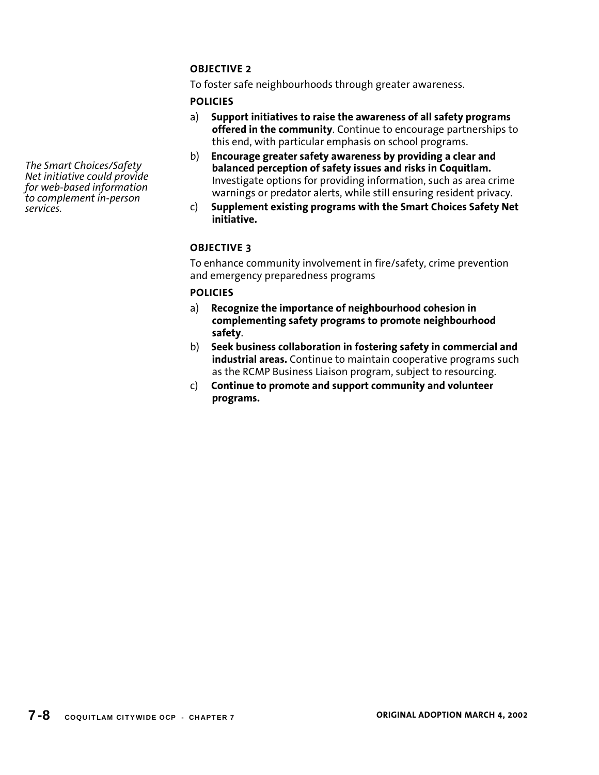To foster safe neighbourhoods through greater awareness.

## **POLICIES**

- a) **Support initiatives to raise the awareness of all safety programs offered in the community**. Continue to encourage partnerships to this end, with particular emphasis on school programs.
- b) **Encourage greater safety awareness by providing a clear and balanced perception of safety issues and risks in Coquitlam.**  Investigate options for providing information, such as area crime warnings or predator alerts, while still ensuring resident privacy.
- c) **Supplement existing programs with the Smart Choices Safety Net initiative.**

## **OBJECTIVE 3**

To enhance community involvement in fire/safety, crime prevention and emergency preparedness programs

## **POLICIES**

- a) **Recognize the importance of neighbourhood cohesion in complementing safety programs to promote neighbourhood safety**.
- b) **Seek business collaboration in fostering safety in commercial and industrial areas.** Continue to maintain cooperative programs such as the RCMP Business Liaison program, subject to resourcing.
- c) **Continue to promote and support community and volunteer programs.**

*The Smart Choices/Safety Net initiative could provide for web-based information to complement in-person services.*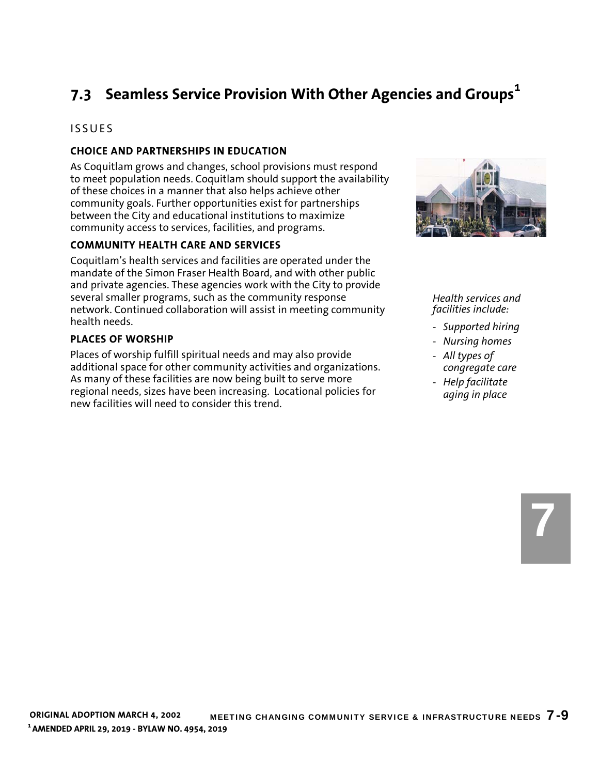# **7.3 Seamless Service Provision With Other Agencies and Groups<sup>1</sup>**

# ISSUES

## **CHOICE AND PARTNERSHIPS IN EDUCATION**

As Coquitlam grows and changes, school provisions must respond to meet population needs. Coquitlam should support the availability of these choices in a manner that also helps achieve other community goals. Further opportunities exist for partnerships between the City and educational institutions to maximize community access to services, facilities, and programs.

### **COMMUNITY HEALTH CARE AND SERVICES**

Coquitlam's health services and facilities are operated under the mandate of the Simon Fraser Health Board, and with other public and private agencies. These agencies work with the City to provide several smaller programs, such as the community response network. Continued collaboration will assist in meeting community health needs.

### **PLACES OF WORSHIP**

Places of worship fulfill spiritual needs and may also provide additional space for other community activities and organizations. As many of these facilities are now being built to serve more regional needs, sizes have been increasing. Locational policies for new facilities will need to consider this trend.



#### *Health services and facilities include:*

- *Supported hiring*
- *Nursing homes*
- *All types of congregate care*
- *Help facilitate aging in place*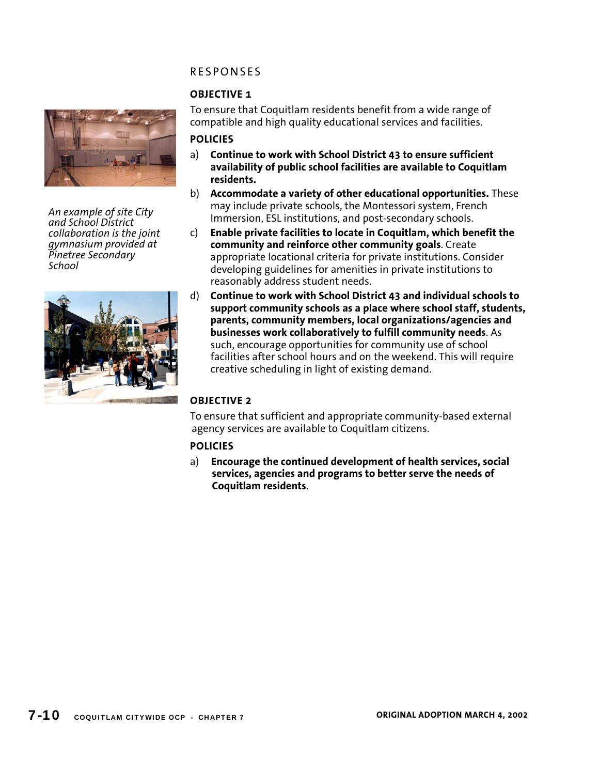# **OBJECTIVE 1**



*An example of site City and School District collaboration is the joint gymnasium provided at Pinetree Secondary School* 



### To ensure that Coquitlam residents benefit from a wide range of compatible and high quality educational services and facilities.

## **POLICIES**

- a) **Continue to work with School District 43 to ensure sufficient availability of public school facilities are available to Coquitlam residents.**
- b) **Accommodate a variety of other educational opportunities.** These may include private schools, the Montessori system, French Immersion, ESL institutions, and post-secondary schools.
- c) **Enable private facilities to locate in Coquitlam, which benefit the community and reinforce other community goals**. Create appropriate locational criteria for private institutions. Consider developing guidelines for amenities in private institutions to reasonably address student needs.
- d) **Continue to work with School District 43 and individual schools to support community schools as a place where school staff, students, parents, community members, local organizations/agencies and businesses work collaboratively to fulfill community needs**. As such, encourage opportunities for community use of school facilities after school hours and on the weekend. This will require creative scheduling in light of existing demand.

# **OBJECTIVE 2**

To ensure that sufficient and appropriate community-based external agency services are available to Coquitlam citizens.

## **POLICIES**

a) **Encourage the continued development of health services, social services, agencies and programs to better serve the needs of Coquitlam residents**.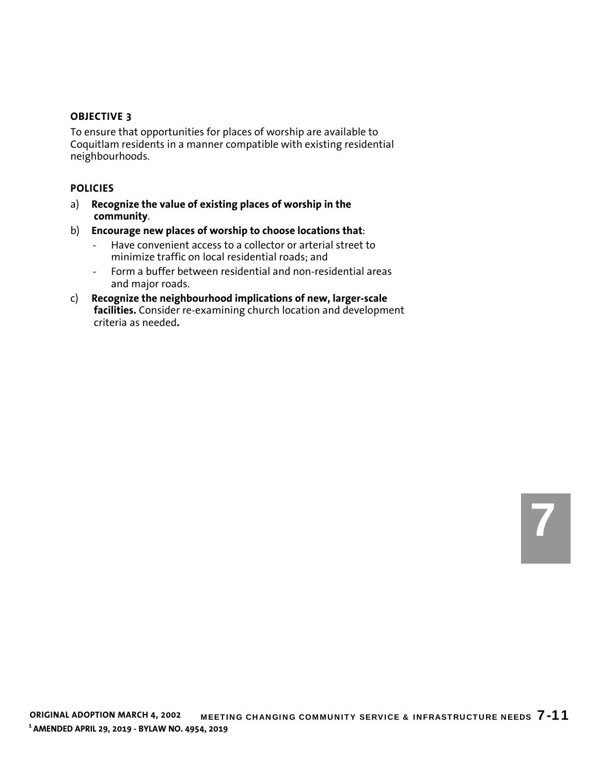To ensure that opportunities for places of worship are available to Coquitlam residents in a manner compatible with existing residential neighbourhoods.

- a) **Recognize the value of existing places of worship in the community**.
- b) **Encourage new places of worship to choose locations that**:
	- Have convenient access to a collector or arterial street to minimize traffic on local residential roads; and
	- Form a buffer between residential and non-residential areas and major roads.
- c) **Recognize the neighbourhood implications of new, larger-scale facilities.** Consider re-examining church location and development criteria as needed**.**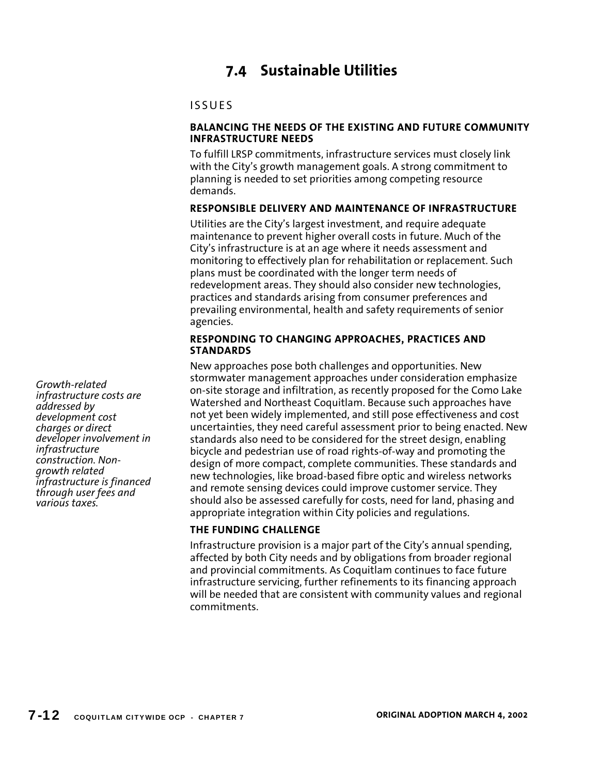# **7.4 Sustainable Utilities**

# ISSUES

### **BALANCING THE NEEDS OF THE EXISTING AND FUTURE COMMUNITY INFRASTRUCTURE NEEDS**

To fulfill LRSP commitments, infrastructure services must closely link with the City's growth management goals. A strong commitment to planning is needed to set priorities among competing resource demands.

## **RESPONSIBLE DELIVERY AND MAINTENANCE OF INFRASTRUCTURE**

Utilities are the City's largest investment, and require adequate maintenance to prevent higher overall costs in future. Much of the City's infrastructure is at an age where it needs assessment and monitoring to effectively plan for rehabilitation or replacement. Such plans must be coordinated with the longer term needs of redevelopment areas. They should also consider new technologies, practices and standards arising from consumer preferences and prevailing environmental, health and safety requirements of senior agencies.

### **RESPONDING TO CHANGING APPROACHES, PRACTICES AND STANDARDS**

New approaches pose both challenges and opportunities. New stormwater management approaches under consideration emphasize on-site storage and infiltration, as recently proposed for the Como Lake Watershed and Northeast Coquitlam. Because such approaches have not yet been widely implemented, and still pose effectiveness and cost uncertainties, they need careful assessment prior to being enacted. New standards also need to be considered for the street design, enabling bicycle and pedestrian use of road rights-of-way and promoting the design of more compact, complete communities. These standards and new technologies, like broad-based fibre optic and wireless networks and remote sensing devices could improve customer service. They should also be assessed carefully for costs, need for land, phasing and appropriate integration within City policies and regulations.

## **THE FUNDING CHALLENGE**

Infrastructure provision is a major part of the City's annual spending, affected by both City needs and by obligations from broader regional and provincial commitments. As Coquitlam continues to face future infrastructure servicing, further refinements to its financing approach will be needed that are consistent with community values and regional commitments.

*Growth-related infrastructure costs are addressed by development cost charges or direct developer involvement in infrastructure construction. Nongrowth related infrastructure is financed through user fees and various taxes.*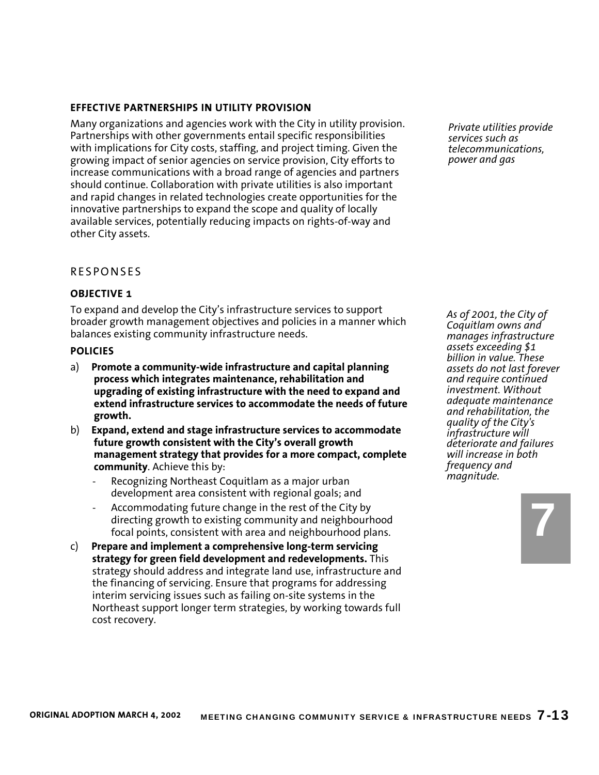## **EFFECTIVE PARTNERSHIPS IN UTILITY PROVISION**

Many organizations and agencies work with the City in utility provision. Partnerships with other governments entail specific responsibilities with implications for City costs, staffing, and project timing. Given the growing impact of senior agencies on service provision, City efforts to increase communications with a broad range of agencies and partners should continue. Collaboration with private utilities is also important and rapid changes in related technologies create opportunities for the innovative partnerships to expand the scope and quality of locally available services, potentially reducing impacts on rights-of-way and other City assets.

### RESPONSES

### **OBJECTIVE 1**

To expand and develop the City's infrastructure services to support broader growth management objectives and policies in a manner which balances existing community infrastructure needs.

#### **POLICIES**

- a) **Promote a community-wide infrastructure and capital planning process which integrates maintenance, rehabilitation and upgrading of existing infrastructure with the need to expand and extend infrastructure services to accommodate the needs of future growth.**
- b) **Expand, extend and stage infrastructure services to accommodate future growth consistent with the City's overall growth management strategy that provides for a more compact, complete community**. Achieve this by:
	- Recognizing Northeast Coquitlam as a major urban development area consistent with regional goals; and
	- Accommodating future change in the rest of the City by directing growth to existing community and neighbourhood focal points, consistent with area and neighbourhood plans.
- c) **Prepare and implement a comprehensive long-term servicing strategy for green field development and redevelopments.** This strategy should address and integrate land use, infrastructure and the financing of servicing. Ensure that programs for addressing interim servicing issues such as failing on-site systems in the Northeast support longer term strategies, by working towards full cost recovery.

*Private utilities provide services such as telecommunications, power and gas* 

*As of 2001, the City of Coquitlam owns and manages infrastructure assets exceeding \$1 billion in value. These assets do not last forever and require continued investment. Without adequate maintenance and rehabilitation, the quality of the City's infrastructure will deteriorate and failures will increase in both frequency and magnitude.* 

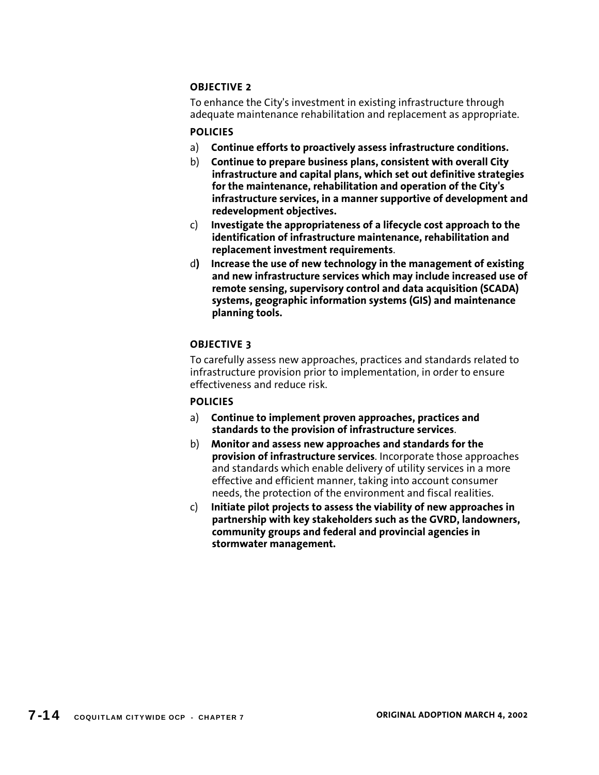To enhance the City's investment in existing infrastructure through adequate maintenance rehabilitation and replacement as appropriate.

## **POLICIES**

- a) **Continue efforts to proactively assess infrastructure conditions.**
- b) **Continue to prepare business plans, consistent with overall City infrastructure and capital plans, which set out definitive strategies for the maintenance, rehabilitation and operation of the City's infrastructure services, in a manner supportive of development and redevelopment objectives.**
- c) **Investigate the appropriateness of a lifecycle cost approach to the identification of infrastructure maintenance, rehabilitation and replacement investment requirements**.
- d**) Increase the use of new technology in the management of existing and new infrastructure services which may include increased use of remote sensing, supervisory control and data acquisition (SCADA) systems, geographic information systems (GIS) and maintenance planning tools.**

# **OBJECTIVE 3**

To carefully assess new approaches, practices and standards related to infrastructure provision prior to implementation, in order to ensure effectiveness and reduce risk.

- a) **Continue to implement proven approaches, practices and standards to the provision of infrastructure services**.
- b) **Monitor and assess new approaches and standards for the provision of infrastructure services**. Incorporate those approaches and standards which enable delivery of utility services in a more effective and efficient manner, taking into account consumer needs, the protection of the environment and fiscal realities.
- c) **Initiate pilot projects to assess the viability of new approaches in partnership with key stakeholders such as the GVRD, landowners, community groups and federal and provincial agencies in stormwater management.**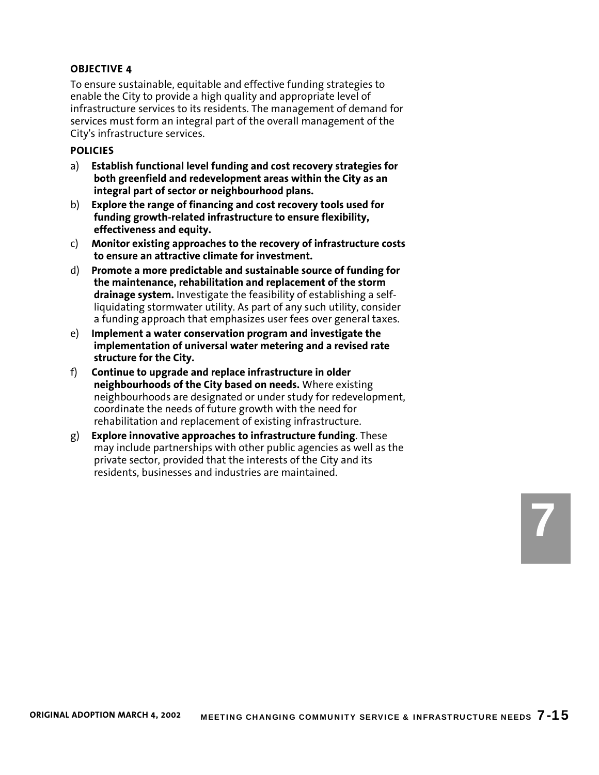To ensure sustainable, equitable and effective funding strategies to enable the City to provide a high quality and appropriate level of infrastructure services to its residents. The management of demand for services must form an integral part of the overall management of the City's infrastructure services.

#### **POLICIES**

- a) **Establish functional level funding and cost recovery strategies for both greenfield and redevelopment areas within the City as an integral part of sector or neighbourhood plans.**
- b) **Explore the range of financing and cost recovery tools used for funding growth-related infrastructure to ensure flexibility, effectiveness and equity.**
- c) **Monitor existing approaches to the recovery of infrastructure costs to ensure an attractive climate for investment.**
- d) **Promote a more predictable and sustainable source of funding for the maintenance, rehabilitation and replacement of the storm drainage system.** Investigate the feasibility of establishing a selfliquidating stormwater utility. As part of any such utility, consider a funding approach that emphasizes user fees over general taxes.
- e) **Implement a water conservation program and investigate the implementation of universal water metering and a revised rate structure for the City.**
- f) **Continue to upgrade and replace infrastructure in older neighbourhoods of the City based on needs.** Where existing neighbourhoods are designated or under study for redevelopment, coordinate the needs of future growth with the need for rehabilitation and replacement of existing infrastructure.
- g) **Explore innovative approaches to infrastructure funding**. These may include partnerships with other public agencies as well as the private sector, provided that the interests of the City and its residents, businesses and industries are maintained.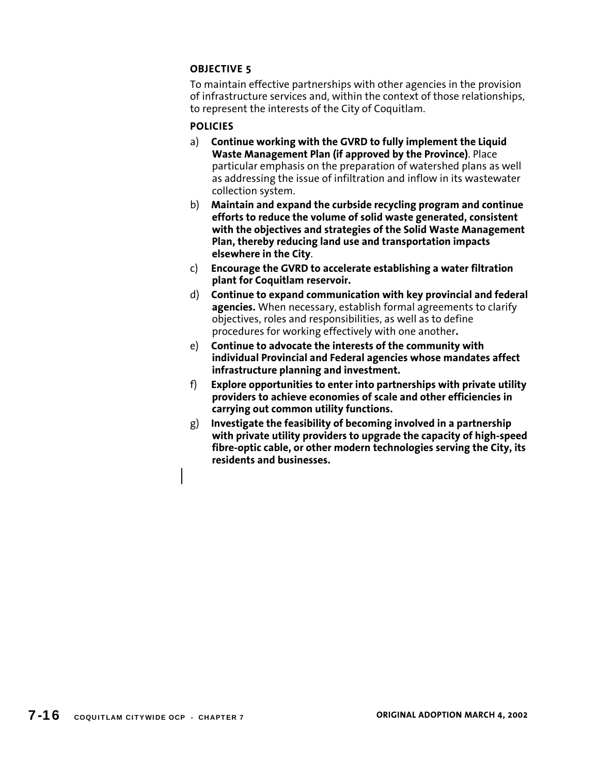To maintain effective partnerships with other agencies in the provision of infrastructure services and, within the context of those relationships, to represent the interests of the City of Coquitlam.

- a) **Continue working with the GVRD to fully implement the Liquid Waste Management Plan (if approved by the Province)**. Place particular emphasis on the preparation of watershed plans as well as addressing the issue of infiltration and inflow in its wastewater collection system.
- b) **Maintain and expand the curbside recycling program and continue efforts to reduce the volume of solid waste generated, consistent with the objectives and strategies of the Solid Waste Management Plan, thereby reducing land use and transportation impacts elsewhere in the City**.
- c) **Encourage the GVRD to accelerate establishing a water filtration plant for Coquitlam reservoir.**
- d) **Continue to expand communication with key provincial and federal agencies.** When necessary, establish formal agreements to clarify objectives, roles and responsibilities, as well as to define procedures for working effectively with one another**.**
- e) **Continue to advocate the interests of the community with individual Provincial and Federal agencies whose mandates affect infrastructure planning and investment.**
- f) **Explore opportunities to enter into partnerships with private utility providers to achieve economies of scale and other efficiencies in carrying out common utility functions.**
- g) **Investigate the feasibility of becoming involved in a partnership with private utility providers to upgrade the capacity of high-speed fibre-optic cable, or other modern technologies serving the City, its residents and businesses.**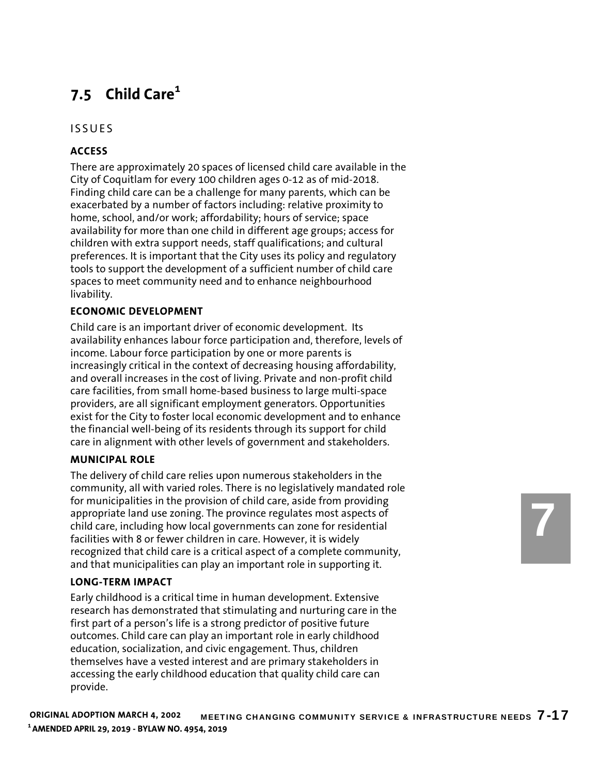# **7.5 Child Care<sup>1</sup>**

# ISSUES

# **ACCESS**

There are approximately 20 spaces of licensed child care available in the City of Coquitlam for every 100 children ages 0-12 as of mid-2018. Finding child care can be a challenge for many parents, which can be exacerbated by a number of factors including: relative proximity to home, school, and/or work; affordability; hours of service; space availability for more than one child in different age groups; access for children with extra support needs, staff qualifications; and cultural preferences. It is important that the City uses its policy and regulatory tools to support the development of a sufficient number of child care spaces to meet community need and to enhance neighbourhood livability.

## **ECONOMIC DEVELOPMENT**

Child care is an important driver of economic development. Its availability enhances labour force participation and, therefore, levels of income. Labour force participation by one or more parents is increasingly critical in the context of decreasing housing affordability, and overall increases in the cost of living. Private and non-profit child care facilities, from small home-based business to large multi-space providers, are all significant employment generators. Opportunities exist for the City to foster local economic development and to enhance the financial well-being of its residents through its support for child care in alignment with other levels of government and stakeholders.

## **MUNICIPAL ROLE**

The delivery of child care relies upon numerous stakeholders in the community, all with varied roles. There is no legislatively mandated role for municipalities in the provision of child care, aside from providing appropriate land use zoning. The province regulates most aspects of child care, including how local governments can zone for residential facilities with 8 or fewer children in care. However, it is widely recognized that child care is a critical aspect of a complete community, and that municipalities can play an important role in supporting it.

## **LONG-TERM IMPACT**

Early childhood is a critical time in human development. Extensive research has demonstrated that stimulating and nurturing care in the first part of a person's life is a strong predictor of positive future outcomes. Child care can play an important role in early childhood education, socialization, and civic engagement. Thus, children themselves have a vested interest and are primary stakeholders in accessing the early childhood education that quality child care can provide.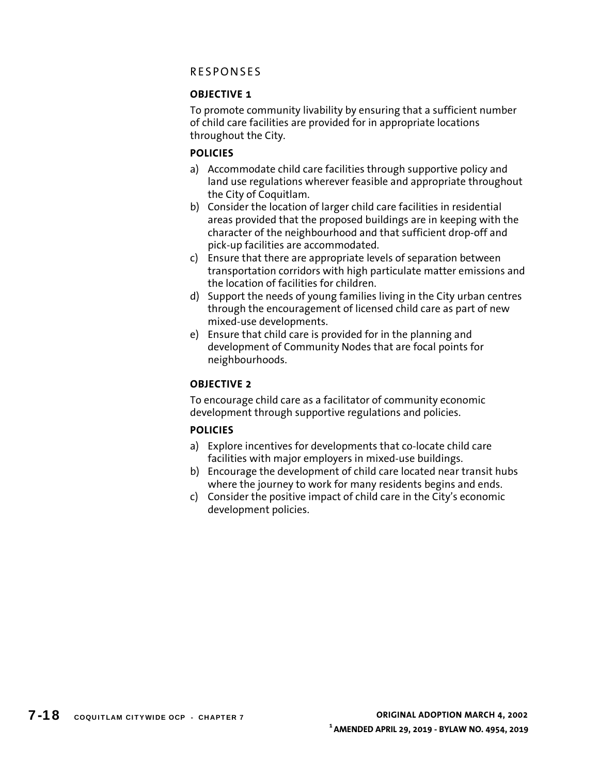# **OBJECTIVE 1**

To promote community livability by ensuring that a sufficient number of child care facilities are provided for in appropriate locations throughout the City.

# **POLICIES**

- a) Accommodate child care facilities through supportive policy and land use regulations wherever feasible and appropriate throughout the City of Coquitlam.
- b) Consider the location of larger child care facilities in residential areas provided that the proposed buildings are in keeping with the character of the neighbourhood and that sufficient drop-off and pick-up facilities are accommodated.
- c) Ensure that there are appropriate levels of separation between transportation corridors with high particulate matter emissions and the location of facilities for children.
- d) Support the needs of young families living in the City urban centres through the encouragement of licensed child care as part of new mixed-use developments.
- e) Ensure that child care is provided for in the planning and development of Community Nodes that are focal points for neighbourhoods.

# **OBJECTIVE 2**

To encourage child care as a facilitator of community economic development through supportive regulations and policies.

- a) Explore incentives for developments that co-locate child care facilities with major employers in mixed-use buildings.
- b) Encourage the development of child care located near transit hubs where the journey to work for many residents begins and ends.
- c) Consider the positive impact of child care in the City's economic development policies.